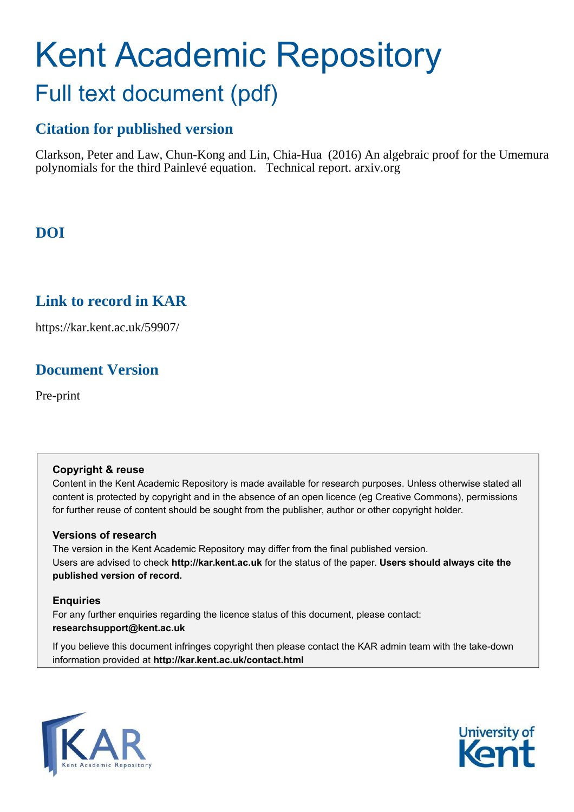# Kent Academic Repository Full text document (pdf)

# **Citation for published version**

Clarkson, Peter and Law, Chun-Kong and Lin, Chia-Hua (2016) An algebraic proof for the Umemura polynomials for the third Painlevé equation. Technical report. arxiv.org

# **DOI**

## **Link to record in KAR**

https://kar.kent.ac.uk/59907/

# **Document Version**

Pre-print

#### **Copyright & reuse**

Content in the Kent Academic Repository is made available for research purposes. Unless otherwise stated all content is protected by copyright and in the absence of an open licence (eg Creative Commons), permissions for further reuse of content should be sought from the publisher, author or other copyright holder.

#### **Versions of research**

The version in the Kent Academic Repository may differ from the final published version. Users are advised to check **http://kar.kent.ac.uk** for the status of the paper. **Users should always cite the published version of record.**

#### **Enquiries**

For any further enquiries regarding the licence status of this document, please contact: **researchsupport@kent.ac.uk**

If you believe this document infringes copyright then please contact the KAR admin team with the take-down information provided at **http://kar.kent.ac.uk/contact.html**



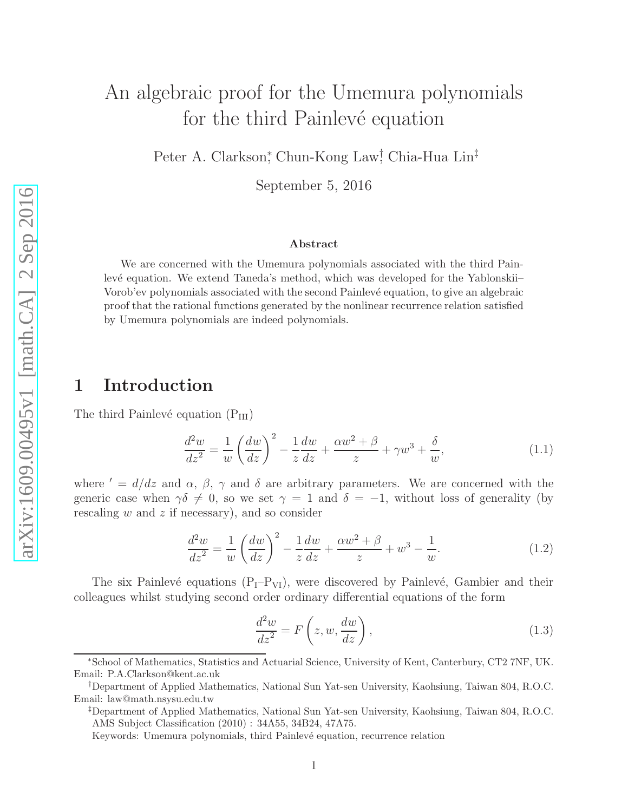# An algebraic proof for the Umemura polynomials for the third Painlevé equation

Peter A. Clarkson,<sup>\*</sup> Chun-Kong Law<sup>†</sup> Chia-Hua Lin<sup>‡</sup>

September 5, 2016

#### Abstract

We are concerned with the Umemura polynomials associated with the third Painlevé equation. We extend Taneda's method, which was developed for the Yablonskii– Vorob'ev polynomials associated with the second Painlevé equation, to give an algebraic proof that the rational functions generated by the nonlinear recurrence relation satisfied by Umemura polynomials are indeed polynomials.

## 1 Introduction

The third Painlevé equation  $(P_{III})$ 

$$
\frac{d^2w}{dz^2} = \frac{1}{w} \left(\frac{dw}{dz}\right)^2 - \frac{1}{z}\frac{dw}{dz} + \frac{\alpha w^2 + \beta}{z} + \gamma w^3 + \frac{\delta}{w},\tag{1.1}
$$

where ' =  $d/dz$  and  $\alpha$ ,  $\beta$ ,  $\gamma$  and  $\delta$  are arbitrary parameters. We are concerned with the generic case when  $\gamma \delta \neq 0$ , so we set  $\gamma = 1$  and  $\delta = -1$ , without loss of generality (by rescaling  $w$  and  $z$  if necessary), and so consider

$$
\frac{d^2w}{dz^2} = \frac{1}{w} \left(\frac{dw}{dz}\right)^2 - \frac{1}{z}\frac{dw}{dz} + \frac{\alpha w^2 + \beta}{z} + w^3 - \frac{1}{w}.\tag{1.2}
$$

The six Painlevé equations  $(P_I-P_{VI})$ , were discovered by Painlevé, Gambier and their colleagues whilst studying second order ordinary differential equations of the form

$$
\frac{d^2w}{dz^2} = F\left(z, w, \frac{dw}{dz}\right),\tag{1.3}
$$

<sup>∗</sup>School of Mathematics, Statistics and Actuarial Science, University of Kent, Canterbury, CT2 7NF, UK. Email: P.A.Clarkson@kent.ac.uk

<sup>†</sup>Department of Applied Mathematics, National Sun Yat-sen University, Kaohsiung, Taiwan 804, R.O.C. Email: law@math.nsysu.edu.tw

<sup>‡</sup>Department of Applied Mathematics, National Sun Yat-sen University, Kaohsiung, Taiwan 804, R.O.C. AMS Subject Classification (2010) : 34A55, 34B24, 47A75.

Keywords: Umemura polynomials, third Painlev´e equation, recurrence relation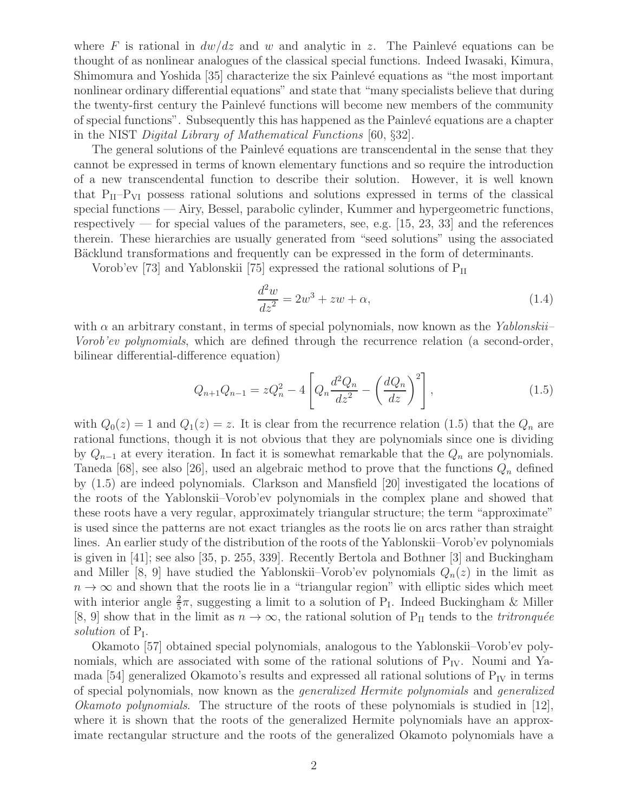where F is rational in  $dw/dz$  and w and analytic in z. The Painlevé equations can be thought of as nonlinear analogues of the classical special functions. Indeed Iwasaki, Kimura, Shimomura and Yoshida [35] characterize the six Painlevé equations as "the most important nonlinear ordinary differential equations" and state that "many specialists believe that during the twenty-first century the Painlevé functions will become new members of the community of special functions". Subsequently this has happened as the Painlev´e equations are a chapter in the NIST *Digital Library of Mathematical Functions* [60, §32].

The general solutions of the Painlevé equations are transcendental in the sense that they cannot be expressed in terms of known elementary functions and so require the introduction of a new transcendental function to describe their solution. However, it is well known that  $P_{II}-P_{VI}$  possess rational solutions and solutions expressed in terms of the classical special functions — Airy, Bessel, parabolic cylinder, Kummer and hypergeometric functions, respectively — for special values of the parameters, see, e.g.  $|15, 23, 33|$  and the references therein. These hierarchies are usually generated from "seed solutions" using the associated Bäcklund transformations and frequently can be expressed in the form of determinants.

Vorob'ev [73] and Yablonskii [75] expressed the rational solutions of  $P_{II}$ 

$$
\frac{d^2w}{dz^2} = 2w^3 + zw + \alpha,\tag{1.4}
$$

with α an arbitrary constant, in terms of special polynomials, now known as the *Yablonskii– Vorob'ev polynomials*, which are defined through the recurrence relation (a second-order, bilinear differential-difference equation)

$$
Q_{n+1}Q_{n-1} = zQ_n^2 - 4\left[Q_n \frac{d^2 Q_n}{dz^2} - \left(\frac{dQ_n}{dz}\right)^2\right],
$$
\n(1.5)

with  $Q_0(z) = 1$  and  $Q_1(z) = z$ . It is clear from the recurrence relation (1.5) that the  $Q_n$  are rational functions, though it is not obvious that they are polynomials since one is dividing by  $Q_{n-1}$  at every iteration. In fact it is somewhat remarkable that the  $Q_n$  are polynomials. Taneda [68], see also [26], used an algebraic method to prove that the functions  $Q_n$  defined by (1.5) are indeed polynomials. Clarkson and Mansfield [20] investigated the locations of the roots of the Yablonskii–Vorob'ev polynomials in the complex plane and showed that these roots have a very regular, approximately triangular structure; the term "approximate" is used since the patterns are not exact triangles as the roots lie on arcs rather than straight lines. An earlier study of the distribution of the roots of the Yablonskii–Vorob'ev polynomials is given in [41]; see also [35, p. 255, 339]. Recently Bertola and Bothner [3] and Buckingham and Miller [8, 9] have studied the Yablonskii–Vorob'ev polynomials  $Q_n(z)$  in the limit as  $n \to \infty$  and shown that the roots lie in a "triangular region" with elliptic sides which meet with interior angle  $\frac{2}{5}\pi$ , suggesting a limit to a solution of P<sub>I</sub>. Indeed Buckingham & Miller [8, 9] show that in the limit as  $n \to \infty$ , the rational solution of P<sub>II</sub> tends to the *tritronquée* solution of P<sub>I</sub>.

Okamoto [57] obtained special polynomials, analogous to the Yablonskii–Vorob'ev polynomials, which are associated with some of the rational solutions of  $P_{IV}$ . Noumi and Yamada [54] generalized Okamoto's results and expressed all rational solutions of  $P_{IV}$  in terms of special polynomials, now known as the *generalized Hermite polynomials* and *generalized Okamoto polynomials*. The structure of the roots of these polynomials is studied in [12], where it is shown that the roots of the generalized Hermite polynomials have an approximate rectangular structure and the roots of the generalized Okamoto polynomials have a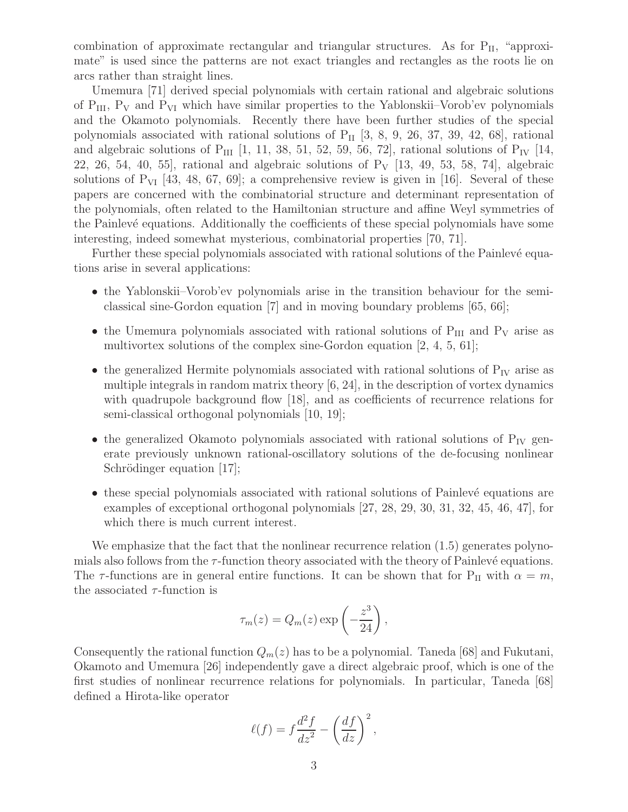combination of approximate rectangular and triangular structures. As for  $P_{II}$ , "approximate" is used since the patterns are not exact triangles and rectangles as the roots lie on arcs rather than straight lines.

Umemura [71] derived special polynomials with certain rational and algebraic solutions of  $P_{III}$ ,  $P_V$  and  $P_{VI}$  which have similar properties to the Yablonskii–Vorob'ev polynomials and the Okamoto polynomials. Recently there have been further studies of the special polynomials associated with rational solutions of  $P_{II}$  [3, 8, 9, 26, 37, 39, 42, 68], rational and algebraic solutions of P<sub>III</sub> [1, 11, 38, 51, 52, 59, 56, 72], rational solutions of P<sub>IV</sub> [14, 22, 26, 54, 40, 55, rational and algebraic solutions of  $P_V$  [13, 49, 53, 58, 74], algebraic solutions of  $P_{VI}$  [43, 48, 67, 69]; a comprehensive review is given in [16]. Several of these papers are concerned with the combinatorial structure and determinant representation of the polynomials, often related to the Hamiltonian structure and affine Weyl symmetries of the Painlevé equations. Additionally the coefficients of these special polynomials have some interesting, indeed somewhat mysterious, combinatorial properties [70, 71].

Further these special polynomials associated with rational solutions of the Painlevé equations arise in several applications:

- the Yablonskii–Vorob'ev polynomials arise in the transition behaviour for the semiclassical sine-Gordon equation [7] and in moving boundary problems [65, 66];
- the Umemura polynomials associated with rational solutions of  $P_{III}$  and  $P_V$  arise as multivortex solutions of the complex sine-Gordon equation [2, 4, 5, 61];
- the generalized Hermite polynomials associated with rational solutions of  $P_{IV}$  arise as multiple integrals in random matrix theory [6, 24], in the description of vortex dynamics with quadrupole background flow [18], and as coefficients of recurrence relations for semi-classical orthogonal polynomials [10, 19];
- the generalized Okamoto polynomials associated with rational solutions of  $P_{IV}$  generate previously unknown rational-oscillatory solutions of the de-focusing nonlinear Schrödinger equation [17];
- these special polynomials associated with rational solutions of Painlevé equations are examples of exceptional orthogonal polynomials [27, 28, 29, 30, 31, 32, 45, 46, 47], for which there is much current interest.

We emphasize that the fact that the nonlinear recurrence relation  $(1.5)$  generates polynomials also follows from the  $\tau$ -function theory associated with the theory of Painlevé equations. The  $\tau$ -functions are in general entire functions. It can be shown that for P<sub>II</sub> with  $\alpha = m$ , the associated  $\tau$ -function is

$$
\tau_m(z) = Q_m(z) \exp\left(-\frac{z^3}{24}\right),\,
$$

Consequently the rational function  $Q_m(z)$  has to be a polynomial. Taneda [68] and Fukutani, Okamoto and Umemura [26] independently gave a direct algebraic proof, which is one of the first studies of nonlinear recurrence relations for polynomials. In particular, Taneda [68] defined a Hirota-like operator

$$
\ell(f) = f \frac{d^2 f}{dz^2} - \left(\frac{df}{dz}\right)^2,
$$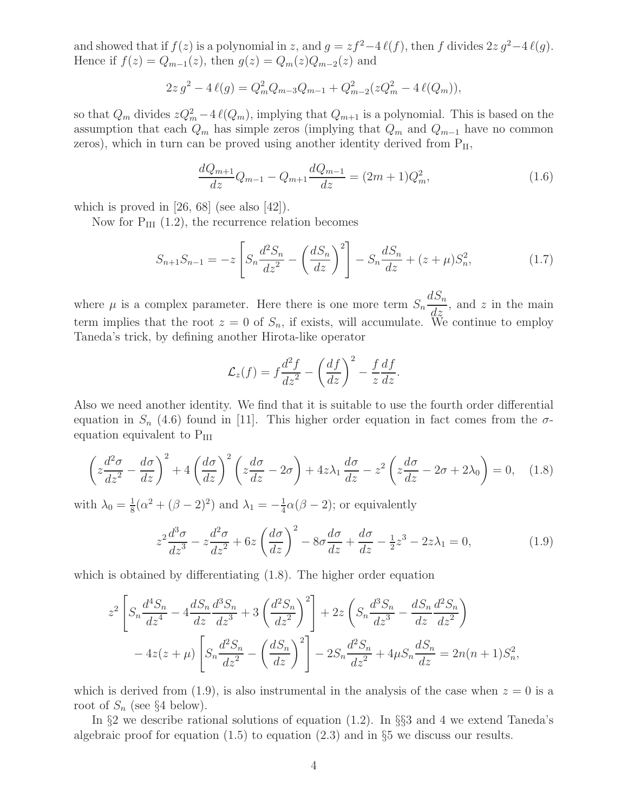and showed that if  $f(z)$  is a polynomial in z, and  $g = zf^2-4\ell(f)$ , then f divides  $2z g^2-4\ell(g)$ . Hence if  $f(z) = Q_{m-1}(z)$ , then  $g(z) = Q_m(z)Q_{m-2}(z)$  and

$$
2z g2 - 4 l(g) = Qm2 Qm-3 Qm-1 + Qm-22 (z Qm2 - 4 l(Qm)),
$$

so that  $Q_m$  divides  $zQ_m^2 - 4\ell(Q_m)$ , implying that  $Q_{m+1}$  is a polynomial. This is based on the assumption that each  $Q_m$  has simple zeros (implying that  $Q_m$  and  $Q_{m-1}$  have no common zeros), which in turn can be proved using another identity derived from  $P_{II}$ ,

$$
\frac{dQ_{m+1}}{dz}Q_{m-1} - Q_{m+1}\frac{dQ_{m-1}}{dz} = (2m+1)Q_m^2,
$$
\n(1.6)

which is proved in  $[26, 68]$  (see also  $[42]$ ).

Now for  $P_{III}$  (1.2), the recurrence relation becomes

$$
S_{n+1}S_{n-1} = -z \left[ S_n \frac{d^2 S_n}{dz^2} - \left( \frac{d S_n}{dz} \right)^2 \right] - S_n \frac{d S_n}{dz} + (z + \mu) S_n^2, \tag{1.7}
$$

where  $\mu$  is a complex parameter. Here there is one more term  $S_n$  $dS_n$  $\frac{d^2z}{dz^2}$ , and z in the main term implies that the root  $z = 0$  of  $S_n$ , if exists, will accumulate. We continue to employ Taneda's trick, by defining another Hirota-like operator

$$
\mathcal{L}_z(f) = f \frac{d^2 f}{dz^2} - \left(\frac{df}{dz}\right)^2 - \frac{f}{z} \frac{df}{dz}.
$$

Also we need another identity. We find that it is suitable to use the fourth order differential equation in  $S_n$  (4.6) found in [11]. This higher order equation in fact comes from the  $\sigma$ equation equivalent to  $P_{III}$ 

$$
\left(z\frac{d^2\sigma}{dz^2} - \frac{d\sigma}{dz}\right)^2 + 4\left(\frac{d\sigma}{dz}\right)^2 \left(z\frac{d\sigma}{dz} - 2\sigma\right) + 4z\lambda_1 \frac{d\sigma}{dz} - z^2 \left(z\frac{d\sigma}{dz} - 2\sigma + 2\lambda_0\right) = 0, \quad (1.8)
$$

with  $\lambda_0 = \frac{1}{8}$  $\frac{1}{8}(\alpha^2 + (\beta - 2)^2)$  and  $\lambda_1 = -\frac{1}{4}$  $\frac{1}{4}\alpha(\beta-2)$ ; or equivalently

$$
z^2 \frac{d^3 \sigma}{dz^3} - z \frac{d^2 \sigma}{dz^2} + 6z \left(\frac{d\sigma}{dz}\right)^2 - 8\sigma \frac{d\sigma}{dz} + \frac{d\sigma}{dz} - \frac{1}{2}z^3 - 2z\lambda_1 = 0,\tag{1.9}
$$

which is obtained by differentiating  $(1.8)$ . The higher order equation

$$
z^{2}\left[S_{n}\frac{d^{4}S_{n}}{dz^{4}}-4\frac{dS_{n}}{dz}\frac{d^{3}S_{n}}{dz^{3}}+3\left(\frac{d^{2}S_{n}}{dz^{2}}\right)^{2}\right]+2z\left(S_{n}\frac{d^{3}S_{n}}{dz^{3}}-\frac{dS_{n}}{dz}\frac{d^{2}S_{n}}{dz^{2}}\right)
$$

$$
-4z(z+\mu)\left[S_{n}\frac{d^{2}S_{n}}{dz^{2}}-\left(\frac{dS_{n}}{dz}\right)^{2}\right]-2S_{n}\frac{d^{2}S_{n}}{dz^{2}}+4\mu S_{n}\frac{dS_{n}}{dz}=2n(n+1)S_{n}^{2},
$$

which is derived from (1.9), is also instrumental in the analysis of the case when  $z = 0$  is a root of  $S_n$  (see §4 below).

In §2 we describe rational solutions of equation (1.2). In §§3 and 4 we extend Taneda's algebraic proof for equation  $(1.5)$  to equation  $(2.3)$  and in §5 we discuss our results.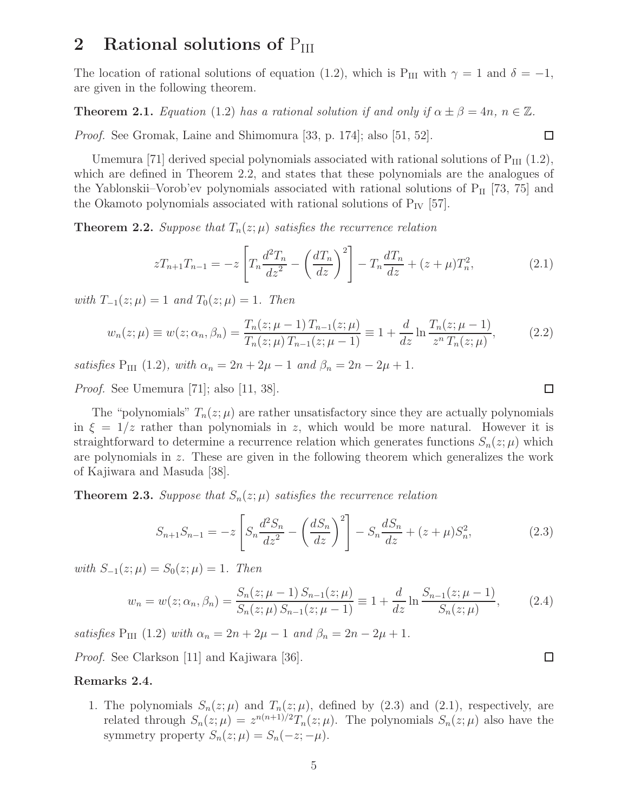## 2 Rational solutions of  $P_{III}$

The location of rational solutions of equation (1.2), which is P<sub>III</sub> with  $\gamma = 1$  and  $\delta = -1$ , are given in the following theorem.

**Theorem 2.1.** *Equation* (1.2) *has a rational solution if and only if*  $\alpha \pm \beta = 4n$ ,  $n \in \mathbb{Z}$ *.* 

*Proof.* See Gromak, Laine and Shimomura [33, p. 174]; also [51, 52].

Umemura [71] derived special polynomials associated with rational solutions of  $P_{III}$  (1.2), which are defined in Theorem 2.2, and states that these polynomials are the analogues of the Yablonskii–Vorob'ev polynomials associated with rational solutions of  $P_{II}$  [73, 75] and the Okamoto polynomials associated with rational solutions of  $P_{IV}$  [57].

**Theorem 2.2.** *Suppose that*  $T_n(z; \mu)$  *satisfies the recurrence relation* 

$$
zT_{n+1}T_{n-1} = -z \left[ T_n \frac{d^2 T_n}{dz^2} - \left( \frac{dT_n}{dz} \right)^2 \right] - T_n \frac{dT_n}{dz} + (z + \mu) T_n^2, \tag{2.1}
$$

*with*  $T_{-1}(z; \mu) = 1$  *and*  $T_0(z; \mu) = 1$ *. Then* 

$$
w_n(z; \mu) \equiv w(z; \alpha_n, \beta_n) = \frac{T_n(z; \mu - 1) T_{n-1}(z; \mu)}{T_n(z; \mu) T_{n-1}(z; \mu - 1)} \equiv 1 + \frac{d}{dz} \ln \frac{T_n(z; \mu - 1)}{z^n T_n(z; \mu)},
$$
(2.2)

*satisfies*  $P_{III}$  (1.2)*, with*  $\alpha_n = 2n + 2\mu - 1$  *and*  $\beta_n = 2n - 2\mu + 1$ *.* 

*Proof.* See Umemura [71]; also [11, 38].

The "polynomials"  $T_n(z; \mu)$  are rather unsatisfactory since they are actually polynomials in  $\xi = 1/z$  rather than polynomials in z, which would be more natural. However it is straightforward to determine a recurrence relation which generates functions  $S_n(z; \mu)$  which are polynomials in z. These are given in the following theorem which generalizes the work of Kajiwara and Masuda [38].

**Theorem 2.3.** *Suppose that*  $S_n(z; \mu)$  *satisfies the recurrence relation* 

$$
S_{n+1}S_{n-1} = -z \left[ S_n \frac{d^2 S_n}{dz^2} - \left( \frac{d S_n}{dz} \right)^2 \right] - S_n \frac{d S_n}{dz} + (z + \mu) S_n^2, \tag{2.3}
$$

*with*  $S_{-1}(z; \mu) = S_0(z; \mu) = 1$ *. Then* 

$$
w_n = w(z; \alpha_n, \beta_n) = \frac{S_n(z; \mu - 1) S_{n-1}(z; \mu)}{S_n(z; \mu) S_{n-1}(z; \mu - 1)} \equiv 1 + \frac{d}{dz} \ln \frac{S_{n-1}(z; \mu - 1)}{S_n(z; \mu)},
$$
(2.4)

*satisfies*  $P_{III}$  (1.2) *with*  $\alpha_n = 2n + 2\mu - 1$  *and*  $\beta_n = 2n - 2\mu + 1$ *.* 

*Proof.* See Clarkson [11] and Kajiwara [36].

#### Remarks 2.4.

1. The polynomials  $S_n(z; \mu)$  and  $T_n(z; \mu)$ , defined by (2.3) and (2.1), respectively, are related through  $S_n(z; \mu) = z^{n(n+1)/2} T_n(z; \mu)$ . The polynomials  $S_n(z; \mu)$  also have the symmetry property  $S_n(z; \mu) = S_n(-z; -\mu)$ .

 $\Box$ 

 $\Box$ 

 $\Box$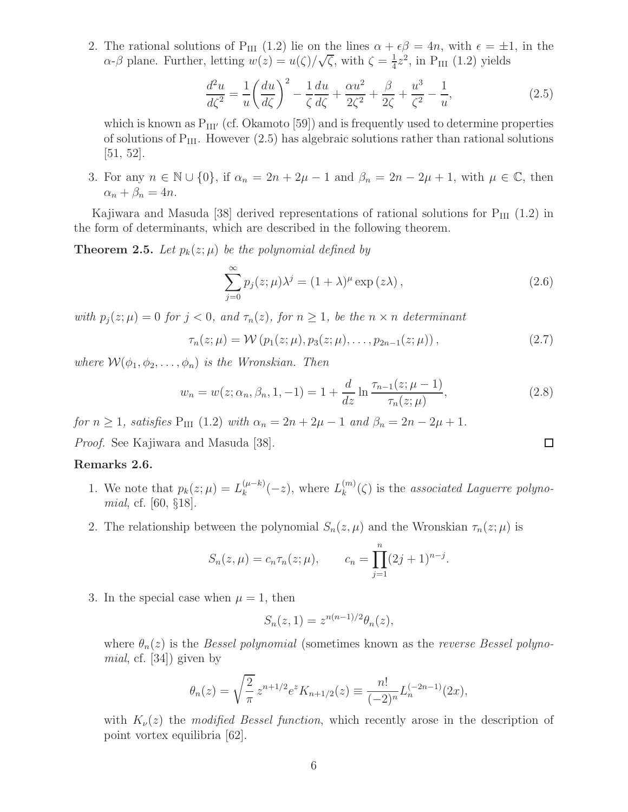2. The rational solutions of P<sub>III</sub> (1.2) lie on the lines  $\alpha + \epsilon \beta = 4n$ , with  $\epsilon = \pm 1$ , in the  $\alpha$ -β plane. Further, letting  $w(z) = u(\zeta)/\sqrt{\zeta}$ , with  $\zeta = \frac{1}{4}$  $\frac{1}{4}z^2$ , in P<sub>III</sub> (1.2) yields

$$
\frac{d^2u}{d\zeta^2} = \frac{1}{u} \left(\frac{du}{d\zeta}\right)^2 - \frac{1}{\zeta} \frac{du}{d\zeta} + \frac{\alpha u^2}{2\zeta^2} + \frac{\beta}{2\zeta} + \frac{u^3}{\zeta^2} - \frac{1}{u},\tag{2.5}
$$

which is known as  $P_{III'}$  (cf. Okamoto [59]) and is frequently used to determine properties of solutions of  $P_{III}$ . However  $(2.5)$  has algebraic solutions rather than rational solutions  $[51, 52]$ .

3. For any  $n \in \mathbb{N} \cup \{0\}$ , if  $\alpha_n = 2n + 2\mu - 1$  and  $\beta_n = 2n - 2\mu + 1$ , with  $\mu \in \mathbb{C}$ , then  $\alpha_n + \beta_n = 4n$ .

Kajiwara and Masuda [38] derived representations of rational solutions for  $P_{III}$  (1.2) in the form of determinants, which are described in the following theorem.

**Theorem 2.5.** Let  $p_k(z; \mu)$  be the polynomial defined by

$$
\sum_{j=0}^{\infty} p_j(z;\mu)\lambda^j = (1+\lambda)^{\mu} \exp(z\lambda), \qquad (2.6)
$$

*with*  $p_i(z; \mu) = 0$  *for*  $j < 0$ *, and*  $\tau_n(z)$ *, for*  $n \geq 1$ *, be the*  $n \times n$  *determinant* 

$$
\tau_n(z;\mu) = \mathcal{W}(p_1(z;\mu), p_3(z;\mu), \dots, p_{2n-1}(z;\mu)), \qquad (2.7)
$$

*where*  $W(\phi_1, \phi_2, \ldots, \phi_n)$  *is the Wronskian. Then* 

$$
w_n = w(z; \alpha_n, \beta_n, 1, -1) = 1 + \frac{d}{dz} \ln \frac{\tau_{n-1}(z; \mu - 1)}{\tau_n(z; \mu)},
$$
\n(2.8)

*for*  $n \ge 1$ *, satisfies*  $P_{III} (1.2)$  *with*  $\alpha_n = 2n + 2\mu - 1$  *and*  $\beta_n = 2n - 2\mu + 1$ *.* 

*Proof.* See Kajiwara and Masuda [38].

#### Remarks 2.6.

- 1. We note that  $p_k(z; \mu) = L_k^{(\mu k)}$  $\binom{(\mu-k)}{k}(-z)$ , where  $L_k^{(m)}$  $\binom{m}{k}(\zeta)$  is the *associated Laguerre polynomial*, cf. [60, §18].
- 2. The relationship between the polynomial  $S_n(z, \mu)$  and the Wronskian  $\tau_n(z; \mu)$  is

$$
S_n(z,\mu) = c_n \tau_n(z;\mu),
$$
  $c_n = \prod_{j=1}^n (2j+1)^{n-j}.$ 

3. In the special case when  $\mu = 1$ , then

$$
S_n(z,1) = z^{n(n-1)/2} \theta_n(z),
$$

where  $\theta_n(z)$  is the *Bessel polynomial* (sometimes known as the *reverse Bessel polynomial*, cf. [34]) given by

$$
\theta_n(z) = \sqrt{\frac{2}{\pi}} z^{n+1/2} e^z K_{n+1/2}(z) \equiv \frac{n!}{(-2)^n} L_n^{(-2n-1)}(2x),
$$

with  $K_{\nu}(z)$  the *modified Bessel function*, which recently arose in the description of point vortex equilibria [62].

 $\Box$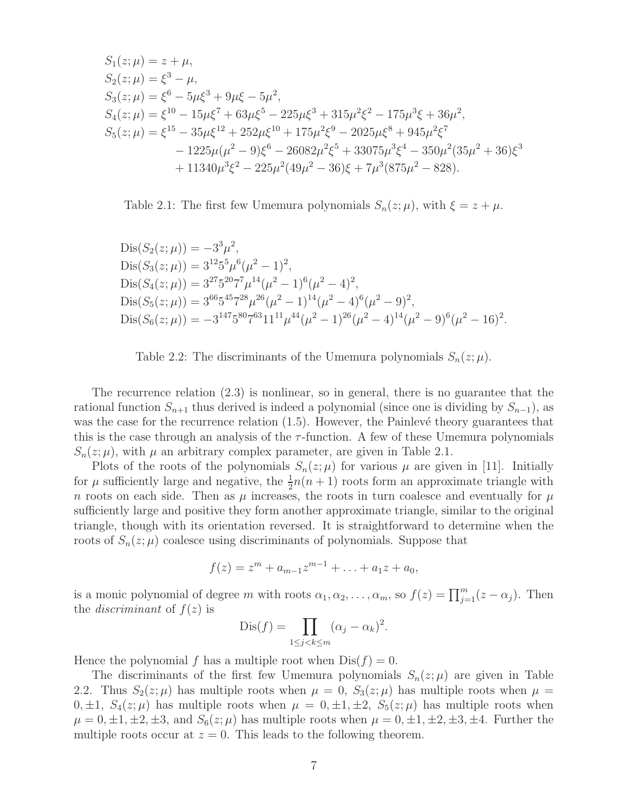$$
S_1(z; \mu) = z + \mu,
$$
  
\n
$$
S_2(z; \mu) = \xi^3 - \mu,
$$
  
\n
$$
S_3(z; \mu) = \xi^6 - 5\mu\xi^3 + 9\mu\xi - 5\mu^2,
$$
  
\n
$$
S_4(z; \mu) = \xi^{10} - 15\mu\xi^7 + 63\mu\xi^5 - 225\mu\xi^3 + 315\mu^2\xi^2 - 175\mu^3\xi + 36\mu^2,
$$
  
\n
$$
S_5(z; \mu) = \xi^{15} - 35\mu\xi^{12} + 252\mu\xi^{10} + 175\mu^2\xi^9 - 2025\mu\xi^8 + 945\mu^2\xi^7
$$
  
\n
$$
- 1225\mu(\mu^2 - 9)\xi^6 - 26082\mu^2\xi^5 + 33075\mu^3\xi^4 - 350\mu^2(35\mu^2 + 36)\xi^3
$$
  
\n
$$
+ 11340\mu^3\xi^2 - 225\mu^2(49\mu^2 - 36)\xi + 7\mu^3(875\mu^2 - 828).
$$

Table 2.1: The first few Umemura polynomials  $S_n(z; \mu)$ , with  $\xi = z + \mu$ .

$$
Dis(S_2(z; \mu)) = -3^3 \mu^2,
$$
  
\n
$$
Dis(S_3(z; \mu)) = 3^{12} 5^5 \mu^6 (\mu^2 - 1)^2,
$$
  
\n
$$
Dis(S_4(z; \mu)) = 3^{27} 5^{20} 7^7 \mu^{14} (\mu^2 - 1)^6 (\mu^2 - 4)^2,
$$
  
\n
$$
Dis(S_5(z; \mu)) = 3^{66} 5^{45} 7^{28} \mu^{26} (\mu^2 - 1)^{14} (\mu^2 - 4)^6 (\mu^2 - 9)^2,
$$
  
\n
$$
Dis(S_6(z; \mu)) = -3^{147} 5^{80} 7^{63} 11^{11} \mu^{44} (\mu^2 - 1)^{26} (\mu^2 - 4)^{14} (\mu^2 - 9)^6 (\mu^2 - 16)^2.
$$

Table 2.2: The discriminants of the Umemura polynomials 
$$
S_n(z; \mu)
$$
.

The recurrence relation (2.3) is nonlinear, so in general, there is no guarantee that the rational function  $S_{n+1}$  thus derived is indeed a polynomial (since one is dividing by  $S_{n-1}$ ), as was the case for the recurrence relation  $(1.5)$ . However, the Painlevé theory guarantees that this is the case through an analysis of the  $\tau$ -function. A few of these Umemura polynomials  $S_n(z; \mu)$ , with  $\mu$  an arbitrary complex parameter, are given in Table 2.1.

Plots of the roots of the polynomials  $S_n(z; \mu)$  for various  $\mu$  are given in [11]. Initially for  $\mu$  sufficiently large and negative, the  $\frac{1}{2}n(n+1)$  roots form an approximate triangle with n roots on each side. Then as  $\mu$  increases, the roots in turn coalesce and eventually for  $\mu$ sufficiently large and positive they form another approximate triangle, similar to the original triangle, though with its orientation reversed. It is straightforward to determine when the roots of  $S_n(z; \mu)$  coalesce using discriminants of polynomials. Suppose that

$$
f(z) = zm + am-1zm-1 + ... + a1z + a0,
$$

is a monic polynomial of degree m with roots  $\alpha_1, \alpha_2, \ldots, \alpha_m$ , so  $f(z) = \prod_{j=1}^m (z - \alpha_j)$ . Then the *discriminant* of  $f(z)$  is

$$
Dis(f) = \prod_{1 \le j < k \le m} (\alpha_j - \alpha_k)^2.
$$

Hence the polynomial f has a multiple root when  $Dis(f) = 0$ .

The discriminants of the first few Umemura polynomials  $S_n(z; \mu)$  are given in Table 2.2. Thus  $S_2(z;\mu)$  has multiple roots when  $\mu = 0$ ,  $S_3(z;\mu)$  has multiple roots when  $\mu =$  $0, \pm 1$ ,  $S_4(z; \mu)$  has multiple roots when  $\mu = 0, \pm 1, \pm 2, S_5(z; \mu)$  has multiple roots when  $\mu = 0, \pm 1, \pm 2, \pm 3,$  and  $S_6(z;\mu)$  has multiple roots when  $\mu = 0, \pm 1, \pm 2, \pm 3, \pm 4$ . Further the multiple roots occur at  $z = 0$ . This leads to the following theorem.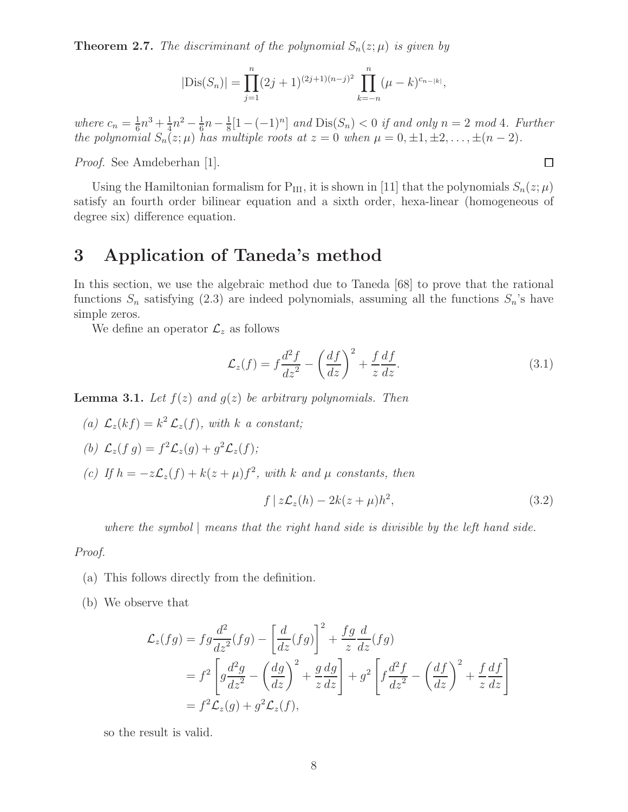**Theorem 2.7.** The discriminant of the polynomial  $S_n(z; \mu)$  is given by

$$
|\text{Dis}(S_n)| = \prod_{j=1}^n (2j+1)^{(2j+1)(n-j)^2} \prod_{k=-n}^n (\mu - k)^{c_{n-|k|}},
$$

*where*  $c_n = \frac{1}{6}$  $\frac{1}{6}n^3 + \frac{1}{4}$  $rac{1}{4}n^2 - \frac{1}{6}$  $\frac{1}{6}n-\frac{1}{8}$  $\frac{1}{8}[1-(-1)^n]$  and  $Dis(S_n) < 0$  if and only  $n = 2 \mod 4$ . Further *the polynomial*  $S_n(z; \mu)$  *has multiple roots at*  $z = 0$  *when*  $\mu = 0, \pm 1, \pm 2, \ldots, \pm (n-2)$ *.* 

*Proof.* See Amdeberhan [1].

 $\Box$ 

Using the Hamiltonian formalism for  $P_{III}$ , it is shown in [11] that the polynomials  $S_n(z; \mu)$ satisfy an fourth order bilinear equation and a sixth order, hexa-linear (homogeneous of degree six) difference equation.

# 3 Application of Taneda's method

In this section, we use the algebraic method due to Taneda [68] to prove that the rational functions  $S_n$  satisfying (2.3) are indeed polynomials, assuming all the functions  $S_n$ 's have simple zeros.

We define an operator  $\mathcal{L}_z$  as follows

$$
\mathcal{L}_z(f) = f \frac{d^2 f}{dz^2} - \left(\frac{df}{dz}\right)^2 + \frac{f}{z} \frac{df}{dz}.\tag{3.1}
$$

**Lemma 3.1.** Let  $f(z)$  and  $g(z)$  be arbitrary polynomials. Then

(a)  $\mathcal{L}_z(kf) = k^2 \mathcal{L}_z(f)$ , with *k a* constant;

(b) 
$$
\mathcal{L}_z(f g) = f^2 \mathcal{L}_z(g) + g^2 \mathcal{L}_z(f);
$$

(c) If  $h = -z\mathcal{L}_z(f) + k(z+\mu)f^2$ , with k and  $\mu$  constants, then

$$
f | z\mathcal{L}_z(h) - 2k(z + \mu)h^2,
$$
\n(3.2)

*where the symbol* | *means that the right hand side is divisible by the left hand side.*

#### *Proof.*

- (a) This follows directly from the definition.
- (b) We observe that

$$
\mathcal{L}_z(fg) = fg \frac{d^2}{dz^2}(fg) - \left[\frac{d}{dz}(fg)\right]^2 + \frac{fg}{z}\frac{d}{dz}(fg)
$$
  
=  $f^2 \left[g\frac{d^2g}{dz^2} - \left(\frac{dg}{dz}\right)^2 + \frac{g}{z}\frac{dg}{dz}\right] + g^2 \left[f\frac{d^2f}{dz^2} - \left(\frac{df}{dz}\right)^2 + \frac{f}{z}\frac{df}{dz}\right]$   
=  $f^2 \mathcal{L}_z(g) + g^2 \mathcal{L}_z(f),$ 

so the result is valid.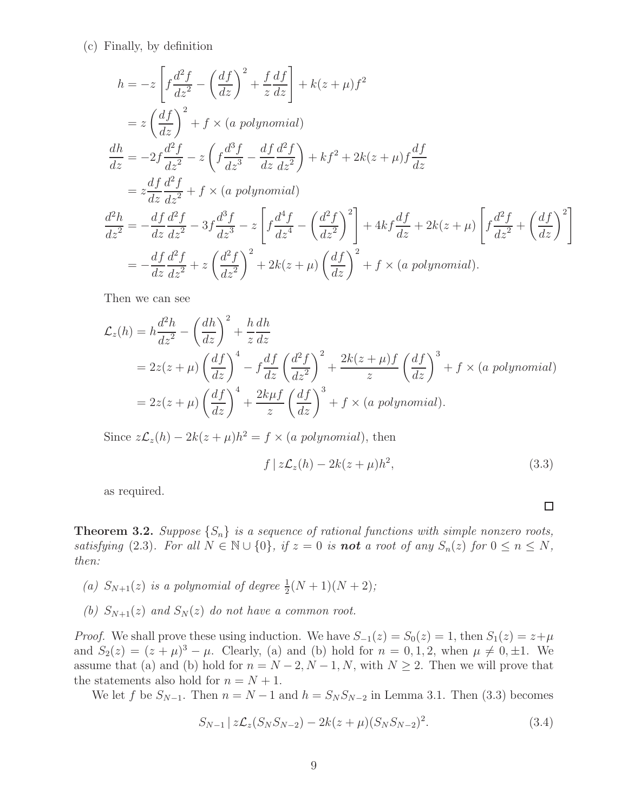(c) Finally, by definition

$$
h = -z \left[ f \frac{d^2 f}{dz^2} - \left( \frac{df}{dz} \right)^2 + \frac{f}{z} \frac{df}{dz} \right] + k(z + \mu)f^2
$$
  
\n
$$
= z \left( \frac{df}{dz} \right)^2 + f \times (a \text{ polynomial})
$$
  
\n
$$
\frac{dh}{dz} = -2f \frac{d^2 f}{dz^2} - z \left( f \frac{d^3 f}{dz^3} - \frac{df}{dz} \frac{d^2 f}{dz^2} \right) + kf^2 + 2k(z + \mu)f \frac{df}{dz}
$$
  
\n
$$
= z \frac{df}{dz} \frac{d^2 f}{dz^2} + f \times (a \text{ polynomial})
$$
  
\n
$$
\frac{d^2 h}{dz^2} = -\frac{df}{dz} \frac{d^2 f}{dz^2} - 3f \frac{d^3 f}{dz^3} - z \left[ f \frac{d^4 f}{dz^4} - \left( \frac{d^2 f}{dz^2} \right)^2 \right] + 4kf \frac{df}{dz} + 2k(z + \mu) \left[ f \frac{d^2 f}{dz^2} + \left( \frac{df}{dz} \right)^2 \right]
$$
  
\n
$$
= -\frac{df}{dz} \frac{d^2 f}{dz^2} + z \left( \frac{d^2 f}{dz^2} \right)^2 + 2k(z + \mu) \left( \frac{df}{dz} \right)^2 + f \times (a \text{ polynomial}).
$$

Then we can see

$$
\mathcal{L}_z(h) = h \frac{d^2 h}{dz^2} - \left(\frac{dh}{dz}\right)^2 + \frac{h}{z} \frac{dh}{dz}
$$
  
=  $2z(z + \mu) \left(\frac{df}{dz}\right)^4 - f \frac{df}{dz} \left(\frac{d^2 f}{dz^2}\right)^2 + \frac{2k(z + \mu)f}{z} \left(\frac{df}{dz}\right)^3 + f \times (a \text{ polynomial})$   
=  $2z(z + \mu) \left(\frac{df}{dz}\right)^4 + \frac{2k\mu f}{z} \left(\frac{df}{dz}\right)^3 + f \times (a \text{ polynomial}).$ 

Since  $z\mathcal{L}_z(h) - 2k(z + \mu)h^2 = f \times (a\ polynomials)$ , then

$$
f | z\mathcal{L}_z(h) - 2k(z + \mu)h^2,
$$
\n(3.3)

 $\Box$ 

as required.

**Theorem 3.2.** *Suppose*  $\{S_n\}$  *is a sequence of rational functions with simple nonzero roots, satisfying* (2.3)*. For all*  $N \in \mathbb{N} \cup \{0\}$ *, if*  $z = 0$  *is not a root of any*  $S_n(z)$  *for*  $0 \le n \le N$ *, then:*

- (a)  $S_{N+1}(z)$  *is a polynomial of degree*  $\frac{1}{2}(N+1)(N+2)$ ;
- *(b)*  $S_{N+1}(z)$  *and*  $S_N(z)$  *do not have a common root.*

*Proof.* We shall prove these using induction. We have  $S_{-1}(z) = S_0(z) = 1$ , then  $S_1(z) = z + \mu$ and  $S_2(z) = (z + \mu)^3 - \mu$ . Clearly, (a) and (b) hold for  $n = 0, 1, 2$ , when  $\mu \neq 0, \pm 1$ . We assume that (a) and (b) hold for  $n = N - 2, N - 1, N$ , with  $N \ge 2$ . Then we will prove that the statements also hold for  $n = N + 1$ .

We let f be  $S_{N-1}$ . Then  $n = N-1$  and  $h = S_N S_{N-2}$  in Lemma 3.1. Then (3.3) becomes

$$
S_{N-1} \, | \, z \mathcal{L}_z(S_N S_{N-2}) - 2k(z+\mu)(S_N S_{N-2})^2. \tag{3.4}
$$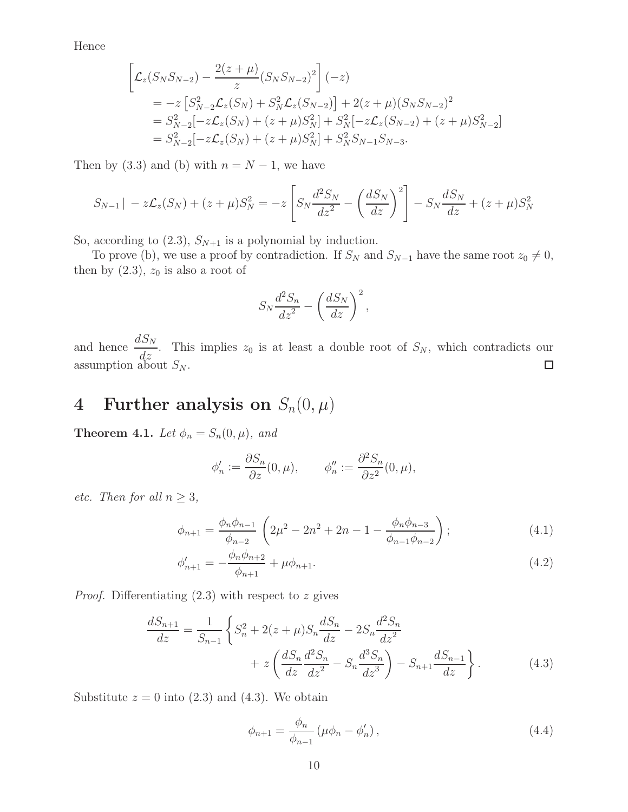Hence

$$
\begin{aligned}\n\left[\mathcal{L}_{z}(S_{N}S_{N-2}) - \frac{2(z+\mu)}{z}(S_{N}S_{N-2})^{2}\right](-z) \\
&= -z\left[S_{N-2}^{2}\mathcal{L}_{z}(S_{N}) + S_{N}^{2}\mathcal{L}_{z}(S_{N-2})\right] + 2(z+\mu)(S_{N}S_{N-2})^{2} \\
&= S_{N-2}^{2}[-z\mathcal{L}_{z}(S_{N}) + (z+\mu)S_{N}^{2}] + S_{N}^{2}[-z\mathcal{L}_{z}(S_{N-2}) + (z+\mu)S_{N-2}^{2}] \\
&= S_{N-2}^{2}[-z\mathcal{L}_{z}(S_{N}) + (z+\mu)S_{N}^{2}] + S_{N}^{2}S_{N-1}S_{N-3}.\n\end{aligned}
$$

Then by (3.3) and (b) with  $n = N - 1$ , we have

$$
S_{N-1}| - z\mathcal{L}_z(S_N) + (z+\mu)S_N^2 = -z \left[ S_N \frac{d^2 S_N}{dz^2} - \left( \frac{dS_N}{dz} \right)^2 \right] - S_N \frac{dS_N}{dz} + (z+\mu)S_N^2
$$

So, according to  $(2.3)$ ,  $S_{N+1}$  is a polynomial by induction.

To prove (b), we use a proof by contradiction. If  $S_N$  and  $S_{N-1}$  have the same root  $z_0 \neq 0$ , then by  $(2.3)$ ,  $z_0$  is also a root of

$$
S_N \frac{d^2 S_n}{dz^2} - \left(\frac{dS_N}{dz}\right)^2,
$$

and hence  $\frac{dS_N}{dS_N}$  $\frac{d^2N}{dz}$ . This implies  $z_0$  is at least a double root of  $S_N$ , which contradicts our assumption about  $S_N$ .

# 4 Further analysis on  $S_n(0, \mu)$

**Theorem 4.1.** *Let*  $\phi_n = S_n(0, \mu)$ *, and* 

$$
\phi'_n := \frac{\partial S_n}{\partial z}(0, \mu), \qquad \phi''_n := \frac{\partial^2 S_n}{\partial z^2}(0, \mu),
$$

*etc.* Then for all  $n \geq 3$ ,

$$
\phi_{n+1} = \frac{\phi_n \phi_{n-1}}{\phi_{n-2}} \left( 2\mu^2 - 2n^2 + 2n - 1 - \frac{\phi_n \phi_{n-3}}{\phi_{n-1} \phi_{n-2}} \right); \tag{4.1}
$$

$$
\phi'_{n+1} = -\frac{\phi_n \phi_{n+2}}{\phi_{n+1}} + \mu \phi_{n+1}.
$$
\n(4.2)

*Proof.* Differentiating  $(2.3)$  with respect to z gives

$$
\frac{dS_{n+1}}{dz} = \frac{1}{S_{n-1}} \left\{ S_n^2 + 2(z+\mu)S_n \frac{dS_n}{dz} - 2S_n \frac{d^2S_n}{dz^2} + z \left( \frac{dS_n}{dz} \frac{d^2S_n}{dz^2} - S_n \frac{d^3S_n}{dz^3} \right) - S_{n+1} \frac{dS_{n-1}}{dz} \right\}.
$$
(4.3)

Substitute  $z = 0$  into  $(2.3)$  and  $(4.3)$ . We obtain

$$
\phi_{n+1} = \frac{\phi_n}{\phi_{n-1}} \left( \mu \phi_n - \phi'_n \right),
$$
\n(4.4)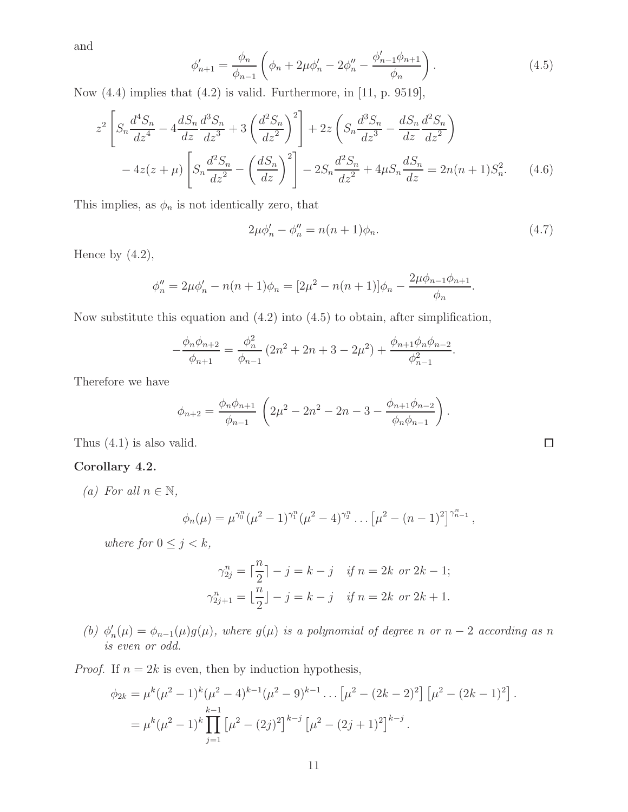and

$$
\phi'_{n+1} = \frac{\phi_n}{\phi_{n-1}} \left( \phi_n + 2\mu \phi'_n - 2\phi''_n - \frac{\phi'_{n-1}\phi_{n+1}}{\phi_n} \right). \tag{4.5}
$$

Now (4.4) implies that (4.2) is valid. Furthermore, in [11, p. 9519],

$$
z^{2}\left[S_{n}\frac{d^{4}S_{n}}{dz^{4}} - 4\frac{dS_{n}}{dz}\frac{d^{3}S_{n}}{dz^{3}} + 3\left(\frac{d^{2}S_{n}}{dz^{2}}\right)^{2}\right] + 2z\left(S_{n}\frac{d^{3}S_{n}}{dz^{3}} - \frac{dS_{n}}{dz}\frac{d^{2}S_{n}}{dz^{2}}\right) - 4z(z+\mu)\left[S_{n}\frac{d^{2}S_{n}}{dz^{2}} - \left(\frac{dS_{n}}{dz}\right)^{2}\right] - 2S_{n}\frac{d^{2}S_{n}}{dz^{2}} + 4\mu S_{n}\frac{dS_{n}}{dz} = 2n(n+1)S_{n}^{2}.\tag{4.6}
$$

This implies, as  $\phi_n$  is not identically zero, that

$$
2\mu \phi_n' - \phi_n'' = n(n+1)\phi_n.
$$
 (4.7)

Hence by  $(4.2)$ ,

$$
\phi''_n = 2\mu \phi'_n - n(n+1)\phi_n = [2\mu^2 - n(n+1)]\phi_n - \frac{2\mu \phi_{n-1} \phi_{n+1}}{\phi_n}.
$$

Now substitute this equation and (4.2) into (4.5) to obtain, after simplification,

$$
-\frac{\phi_n \phi_{n+2}}{\phi_{n+1}} = \frac{\phi_n^2}{\phi_{n-1}} \left(2n^2 + 2n + 3 - 2\mu^2\right) + \frac{\phi_{n+1} \phi_n \phi_{n-2}}{\phi_{n-1}^2}.
$$

Therefore we have

$$
\phi_{n+2} = \frac{\phi_n \phi_{n+1}}{\phi_{n-1}} \left( 2\mu^2 - 2n^2 - 2n - 3 - \frac{\phi_{n+1} \phi_{n-2}}{\phi_n \phi_{n-1}} \right).
$$

Thus (4.1) is also valid.

#### Corollary 4.2.

*(a)* For all  $n \in \mathbb{N}$ ,

$$
\phi_n(\mu) = \mu^{\gamma_0^n} (\mu^2 - 1)^{\gamma_1^n} (\mu^2 - 4)^{\gamma_2^n} \dots \left[ \mu^2 - (n-1)^2 \right]^{\gamma_{n-1}^n},
$$

*where for*  $0 \leq j \leq k$ *,* 

$$
\gamma_{2j}^n = \left\lceil \frac{n}{2} \right\rceil - j = k - j \quad \text{if } n = 2k \text{ or } 2k - 1;
$$
  

$$
\gamma_{2j+1}^n = \left\lfloor \frac{n}{2} \right\rfloor - j = k - j \quad \text{if } n = 2k \text{ or } 2k + 1.
$$

 $(b)$   $\phi'_i$  $\nu_n'(\mu) = \phi_{n-1}(\mu)g(\mu)$ , where  $g(\mu)$  is a polynomial of degree n or  $n-2$  according as n *is even or odd.*

*Proof.* If  $n = 2k$  is even, then by induction hypothesis,

$$
\phi_{2k} = \mu^k (\mu^2 - 1)^k (\mu^2 - 4)^{k-1} (\mu^2 - 9)^{k-1} \dots \left[ \mu^2 - (2k-2)^2 \right] \left[ \mu^2 - (2k-1)^2 \right].
$$
  
= 
$$
\mu^k (\mu^2 - 1)^k \prod_{j=1}^{k-1} \left[ \mu^2 - (2j)^2 \right]^{k-j} \left[ \mu^2 - (2j+1)^2 \right]^{k-j}.
$$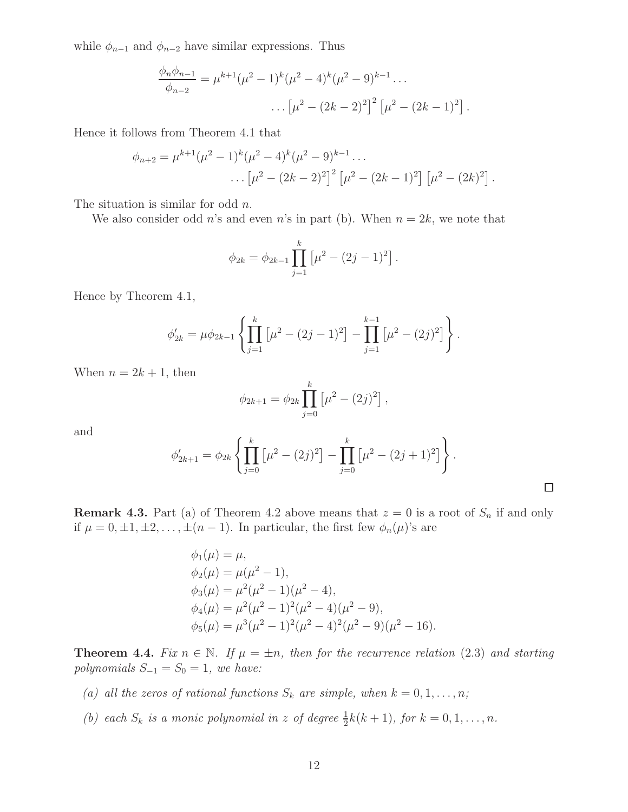while  $\phi_{n-1}$  and  $\phi_{n-2}$  have similar expressions. Thus

$$
\frac{\phi_n \phi_{n-1}}{\phi_{n-2}} = \mu^{k+1} (\mu^2 - 1)^k (\mu^2 - 4)^k (\mu^2 - 9)^{k-1} \dots
$$

$$
\dots \left[ \mu^2 - (2k-2)^2 \right]^2 \left[ \mu^2 - (2k-1)^2 \right].
$$

Hence it follows from Theorem 4.1 that

$$
\phi_{n+2} = \mu^{k+1} (\mu^2 - 1)^k (\mu^2 - 4)^k (\mu^2 - 9)^{k-1} \dots
$$

$$
\dots \left[ \mu^2 - (2k-2)^2 \right]^2 \left[ \mu^2 - (2k-1)^2 \right] \left[ \mu^2 - (2k)^2 \right].
$$

The situation is similar for odd  $n$ .

We also consider odd n's and even n's in part (b). When  $n = 2k$ , we note that

$$
\phi_{2k} = \phi_{2k-1} \prod_{j=1}^{k} \left[ \mu^2 - (2j-1)^2 \right].
$$

Hence by Theorem 4.1,

$$
\phi'_{2k} = \mu \phi_{2k-1} \left\{ \prod_{j=1}^k \left[ \mu^2 - (2j-1)^2 \right] - \prod_{j=1}^{k-1} \left[ \mu^2 - (2j)^2 \right] \right\}.
$$

When  $n = 2k + 1$ , then

$$
\phi_{2k+1} = \phi_{2k} \prod_{j=0}^{k} \left[ \mu^2 - (2j)^2 \right],
$$

and

$$
\phi'_{2k+1} = \phi_{2k} \left\{ \prod_{j=0}^k \left[ \mu^2 - (2j)^2 \right] - \prod_{j=0}^k \left[ \mu^2 - (2j+1)^2 \right] \right\}.
$$

 $\Box$ 

**Remark 4.3.** Part (a) of Theorem 4.2 above means that  $z = 0$  is a root of  $S_n$  if and only if  $\mu = 0, \pm 1, \pm 2, \ldots, \pm (n-1)$ . In particular, the first few  $\phi_n(\mu)$ 's are

$$
\phi_1(\mu) = \mu,
$$
  
\n
$$
\phi_2(\mu) = \mu(\mu^2 - 1),
$$
  
\n
$$
\phi_3(\mu) = \mu^2(\mu^2 - 1)(\mu^2 - 4),
$$
  
\n
$$
\phi_4(\mu) = \mu^2(\mu^2 - 1)^2(\mu^2 - 4)(\mu^2 - 9),
$$
  
\n
$$
\phi_5(\mu) = \mu^3(\mu^2 - 1)^2(\mu^2 - 4)^2(\mu^2 - 9)(\mu^2 - 16).
$$

**Theorem 4.4.** *Fix*  $n \in \mathbb{N}$ *. If*  $\mu = \pm n$ *, then for the recurrence relation* (2.3) *and starting polynomials*  $S_{-1} = S_0 = 1$ *, we have:* 

- *(a) all the zeros of rational functions*  $S_k$  *are simple, when*  $k = 0, 1, \ldots, n$ *;*
- (b) each  $S_k$  *is a monic polynomial in* z of degree  $\frac{1}{2}k(k+1)$ *, for*  $k = 0, 1, ..., n$ *.*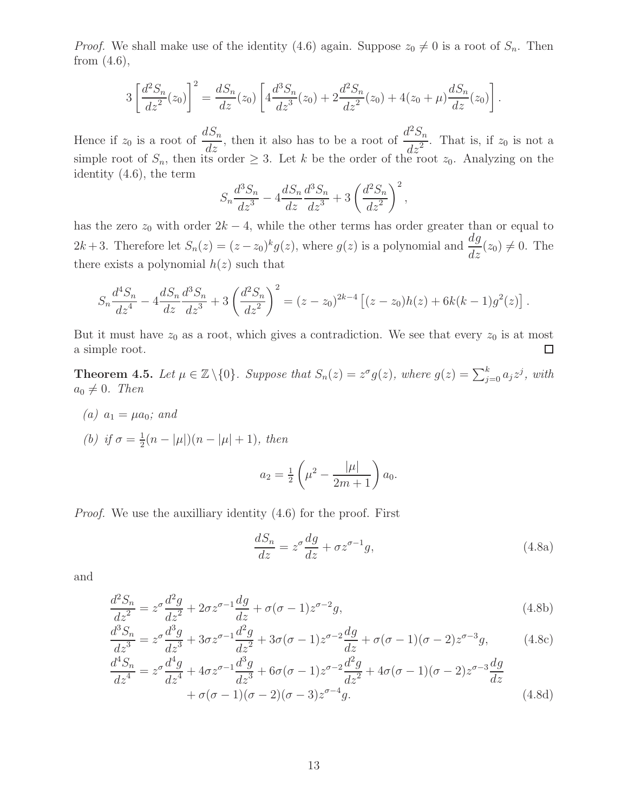*Proof.* We shall make use of the identity (4.6) again. Suppose  $z_0 \neq 0$  is a root of  $S_n$ . Then from (4.6),

$$
3\left[\frac{d^2S_n}{dz^2}(z_0)\right]^2 = \frac{dS_n}{dz}(z_0)\left[4\frac{d^3S_n}{dz^3}(z_0) + 2\frac{d^2S_n}{dz^2}(z_0) + 4(z_0 + \mu)\frac{dS_n}{dz}(z_0)\right].
$$

Hence if  $z_0$  is a root of  $\frac{dS_n}{dz}$ , then it also has to be a root of  $\frac{d^2S_n}{dz^2}$  $\frac{d^2z^2}{dz^2}$ . That is, if  $z_0$  is not a simple root of  $S_n$ , then its order  $\geq 3$ . Let k be the order of the root  $z_0$ . Analyzing on the identity (4.6), the term

$$
S_n \frac{d^3 S_n}{dz^3} - 4 \frac{d S_n}{dz} \frac{d^3 S_n}{dz^3} + 3 \left( \frac{d^2 S_n}{dz^2} \right)^2,
$$

has the zero  $z_0$  with order  $2k - 4$ , while the other terms has order greater than or equal to  $2k+3$ . Therefore let  $S_n(z) = (z-z_0)^k g(z)$ , where  $g(z)$  is a polynomial and  $\frac{dg}{dz}$  $\frac{d^2y}{dz}(z_0) \neq 0$ . The there exists a polynomial  $h(z)$  such that

$$
S_n \frac{d^4 S_n}{dz^4} - 4 \frac{d S_n}{dz} \frac{d^3 S_n}{dz^3} + 3 \left( \frac{d^2 S_n}{dz^2} \right)^2 = (z - z_0)^{2k - 4} \left[ (z - z_0) h(z) + 6k(k - 1) g^2(z) \right].
$$

But it must have  $z_0$  as a root, which gives a contradiction. We see that every  $z_0$  is at most a simple root.  $\Box$ 

**Theorem 4.5.** Let  $\mu \in \mathbb{Z} \setminus \{0\}$ . Suppose that  $S_n(z) = z^{\sigma} g(z)$ , where  $g(z) = \sum_{j=0}^{k} a_j z^j$ , with  $a_0 \neq 0$ . Then

- *(a)*  $a_1 = \mu a_0$ *;* and
- *(b) if*  $\sigma = \frac{1}{2}$  $\frac{1}{2}(n-|\mu|)(n-|\mu|+1)$ , then

$$
a_2 = \frac{1}{2} \left( \mu^2 - \frac{|\mu|}{2m+1} \right) a_0.
$$

|µ|

*Proof.* We use the auxilliary identity  $(4.6)$  for the proof. First

$$
\frac{dS_n}{dz} = z^{\sigma} \frac{dg}{dz} + \sigma z^{\sigma - 1} g,\tag{4.8a}
$$

and

$$
\frac{d^2S_n}{dz^2} = z^{\sigma} \frac{d^2g}{dz^2} + 2\sigma z^{\sigma-1} \frac{dg}{dz} + \sigma(\sigma - 1)z^{\sigma-2}g,\tag{4.8b}
$$

$$
\frac{d^3S_n}{dz^3} = z^{\sigma} \frac{d^3g}{dz^3} + 3\sigma z^{\sigma-1} \frac{d^2g}{dz^2} + 3\sigma (\sigma - 1) z^{\sigma-2} \frac{dg}{dz} + \sigma (\sigma - 1)(\sigma - 2) z^{\sigma-3}g,\tag{4.8c}
$$

$$
\frac{d^4S_n}{dz^4} = z^{\sigma} \frac{d^4g}{dz^4} + 4\sigma z^{\sigma-1} \frac{d^3g}{dz^3} + 6\sigma(\sigma - 1)z^{\sigma-2} \frac{d^2g}{dz^2} + 4\sigma(\sigma - 1)(\sigma - 2)z^{\sigma-3} \frac{dg}{dz} + \sigma(\sigma - 1)(\sigma - 2)(\sigma - 3)z^{\sigma-4}g.
$$
\n(4.8d)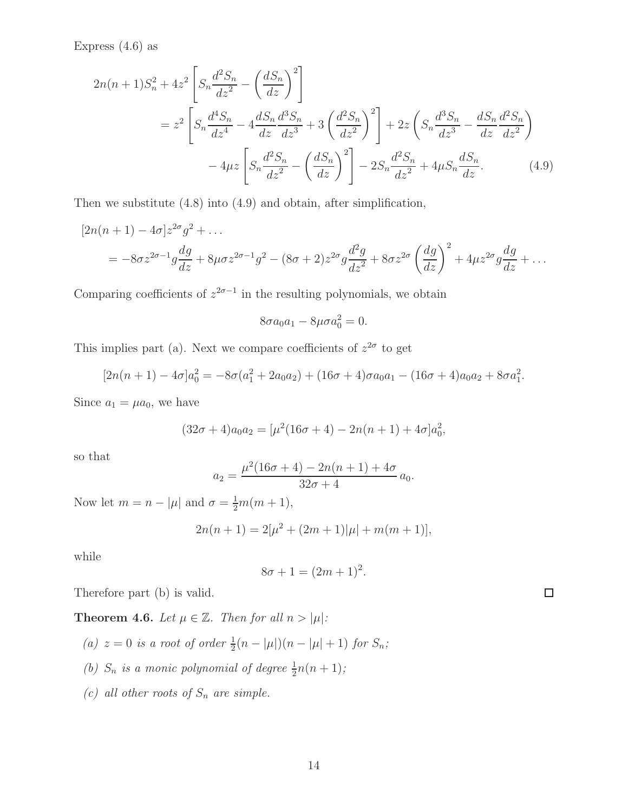Express  $(4.6)$  as

$$
2n(n+1)S_n^2 + 4z^2 \left[ S_n \frac{d^2 S_n}{dz^2} - \left( \frac{dS_n}{dz} \right)^2 \right]
$$
  
=  $z^2 \left[ S_n \frac{d^4 S_n}{dz^4} - 4 \frac{dS_n}{dz} \frac{d^3 S_n}{dz^3} + 3 \left( \frac{d^2 S_n}{dz^2} \right)^2 \right] + 2z \left( S_n \frac{d^3 S_n}{dz^3} - \frac{dS_n}{dz} \frac{d^2 S_n}{dz^2} \right)$   
-  $4\mu z \left[ S_n \frac{d^2 S_n}{dz^2} - \left( \frac{dS_n}{dz} \right)^2 \right] - 2S_n \frac{d^2 S_n}{dz^2} + 4\mu S_n \frac{dS_n}{dz}. \tag{4.9}$ 

Then we substitute (4.8) into (4.9) and obtain, after simplification,

$$
[2n(n+1) - 4\sigma]z^{2\sigma}g^{2} + \dots
$$
  
= -8\sigma z^{2\sigma-1}g\frac{dg}{dz} + 8\mu\sigma z^{2\sigma-1}g^{2} - (8\sigma + 2)z^{2\sigma}g\frac{d^{2}g}{dz^{2}} + 8\sigma z^{2\sigma}\left(\frac{dg}{dz}\right)^{2} + 4\mu z^{2\sigma}g\frac{dg}{dz} + \dots

Comparing coefficients of  $z^{2\sigma-1}$  in the resulting polynomials, we obtain

$$
8\sigma a_0 a_1 - 8\mu\sigma a_0^2 = 0.
$$

This implies part (a). Next we compare coefficients of  $z^{2\sigma}$  to get

$$
[2n(n+1) - 4\sigma]a_0^2 = -8\sigma(a_1^2 + 2a_0a_2) + (16\sigma + 4)\sigma a_0a_1 - (16\sigma + 4)a_0a_2 + 8\sigma a_1^2.
$$

Since  $a_1 = \mu a_0$ , we have

$$
(32\sigma + 4)a_0a_2 = \left[\mu^2(16\sigma + 4) - 2n(n+1) + 4\sigma\right]a_0^2,
$$

so that

$$
a_2 = \frac{\mu^2 (16\sigma + 4) - 2n(n+1) + 4\sigma}{32\sigma + 4} a_0.
$$

Now let  $m = n - |\mu|$  and  $\sigma = \frac{1}{2}m(m + 1)$ ,

$$
2n(n + 1) = 2[\mu^{2} + (2m + 1)|\mu| + m(m + 1)],
$$

while

$$
8\sigma + 1 = (2m + 1)^2.
$$

 $\Box$ 

Therefore part (b) is valid.

**Theorem 4.6.** *Let*  $\mu \in \mathbb{Z}$ *. Then for all*  $n > |\mu|$ *:* 

- (a)  $z = 0$  *is a root of order*  $\frac{1}{2}(n |\mu|)(n |\mu| + 1)$  *for*  $S_n$ ;
- (b)  $S_n$  *is a monic polynomial of degree*  $\frac{1}{2}n(n+1)$ ;
- *(c) all other roots of*  $S_n$  *are simple.*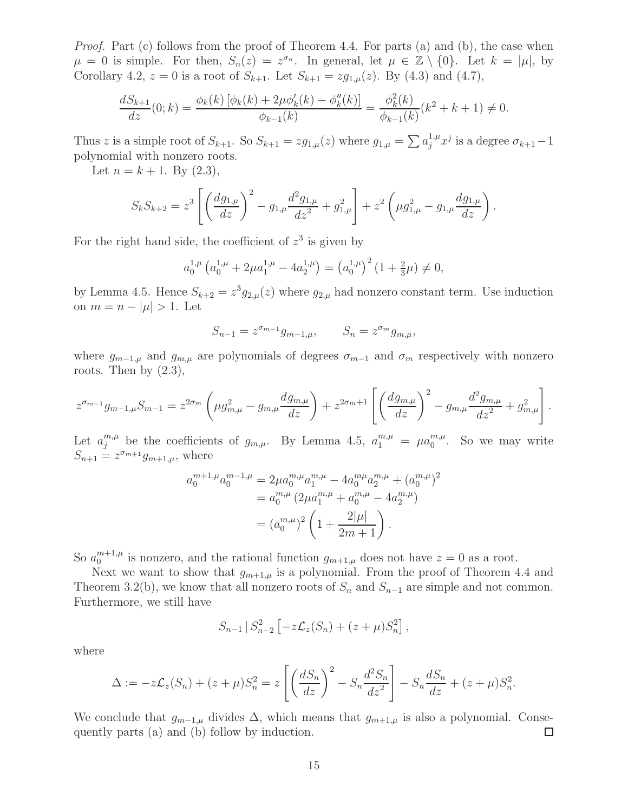*Proof.* Part (c) follows from the proof of Theorem 4.4. For parts (a) and (b), the case when  $\mu = 0$  is simple. For then,  $S_n(z) = z^{\sigma_n}$ . In general, let  $\mu \in \mathbb{Z} \setminus \{0\}$ . Let  $k = |\mu|$ , by Corollary 4.2,  $z = 0$  is a root of  $S_{k+1}$ . Let  $S_{k+1} = zg_{1,\mu}(z)$ . By (4.3) and (4.7),

$$
\frac{dS_{k+1}}{dz}(0;k) = \frac{\phi_k(k)\left[\phi_k(k) + 2\mu\phi'_k(k) - \phi''_k(k)\right]}{\phi_{k-1}(k)} = \frac{\phi_k^2(k)}{\phi_{k-1}(k)}(k^2 + k + 1) \neq 0.
$$

Thus z is a simple root of  $S_{k+1}$ . So  $S_{k+1} = zg_{1,\mu}(z)$  where  $g_{1,\mu} = \sum a_j^{1,\mu} x^j$  is a degree  $\sigma_{k+1} - 1$ polynomial with nonzero roots.

Let  $n = k + 1$ . By  $(2.3)$ ,

$$
S_k S_{k+2} = z^3 \left[ \left( \frac{dg_{1,\mu}}{dz} \right)^2 - g_{1,\mu} \frac{d^2 g_{1,\mu}}{dz^2} + g_{1,\mu}^2 \right] + z^2 \left( \mu g_{1,\mu}^2 - g_{1,\mu} \frac{dg_{1,\mu}}{dz} \right).
$$

For the right hand side, the coefficient of  $z^3$  is given by

$$
a_0^{1,\mu} \left( a_0^{1,\mu} + 2\mu a_1^{1,\mu} - 4a_2^{1,\mu} \right) = \left( a_0^{1,\mu} \right)^2 \left( 1 + \frac{2}{3}\mu \right) \neq 0,
$$

by Lemma 4.5. Hence  $S_{k+2} = z^3 g_{2,\mu}(z)$  where  $g_{2,\mu}$  had nonzero constant term. Use induction on  $m = n - |\mu| > 1$ . Let

$$
S_{n-1} = z^{\sigma_{m-1}} g_{m-1,\mu}, \qquad S_n = z^{\sigma_m} g_{m,\mu},
$$

where  $g_{m-1,\mu}$  and  $g_{m,\mu}$  are polynomials of degrees  $\sigma_{m-1}$  and  $\sigma_m$  respectively with nonzero roots. Then by  $(2.3)$ ,

$$
z^{\sigma_{m-1}}g_{m-1,\mu}S_{m-1} = z^{2\sigma_m} \left(\mu g_{m,\mu}^2 - g_{m,\mu}\frac{dg_{m,\mu}}{dz}\right) + z^{2\sigma_m+1} \left[\left(\frac{dg_{m,\mu}}{dz}\right)^2 - g_{m,\mu}\frac{d^2g_{m,\mu}}{dz^2} + g_{m,\mu}^2\right].
$$

Let  $a_j^{m,\mu}$  be the coefficients of  $g_{m,\mu}$ . By Lemma 4.5,  $a_1^{m,\mu} = \mu a_0^{m,\mu}$  $_{0}^{m,\mu}$ . So we may write  $S_{n+1} = z^{\sigma_{m+1}} g_{m+1,\mu}$ , where

$$
a_0^{m+1,\mu} a_0^{m-1,\mu} = 2\mu a_0^{m,\mu} a_1^{m,\mu} - 4a_0^{m\mu} a_2^{m,\mu} + (a_0^{m,\mu})^2
$$
  
=  $a_0^{m,\mu} (2\mu a_1^{m,\mu} + a_0^{m,\mu} - 4a_2^{m,\mu})$   
=  $(a_0^{m,\mu})^2 \left(1 + \frac{2|\mu|}{2m+1}\right).$ 

So  $a_0^{m+1,\mu}$  $_{0}^{m+1,\mu}$  is nonzero, and the rational function  $g_{m+1,\mu}$  does not have  $z=0$  as a root.

Next we want to show that  $g_{m+1,\mu}$  is a polynomial. From the proof of Theorem 4.4 and Theorem 3.2(b), we know that all nonzero roots of  $S_n$  and  $S_{n-1}$  are simple and not common. Furthermore, we still have

$$
S_{n-1} | S_{n-2}^2 \left[ -z \mathcal{L}_z(S_n) + (z + \mu) S_n^2 \right],
$$

where

$$
\Delta := -z\mathcal{L}_z(S_n) + (z+\mu)S_n^2 = z\left[ \left( \frac{dS_n}{dz} \right)^2 - S_n \frac{d^2S_n}{dz^2} \right] - S_n \frac{dS_n}{dz} + (z+\mu)S_n^2.
$$

We conclude that  $g_{m-1,\mu}$  divides  $\Delta$ , which means that  $g_{m+1,\mu}$  is also a polynomial. Consequently parts (a) and (b) follow by induction.  $\Box$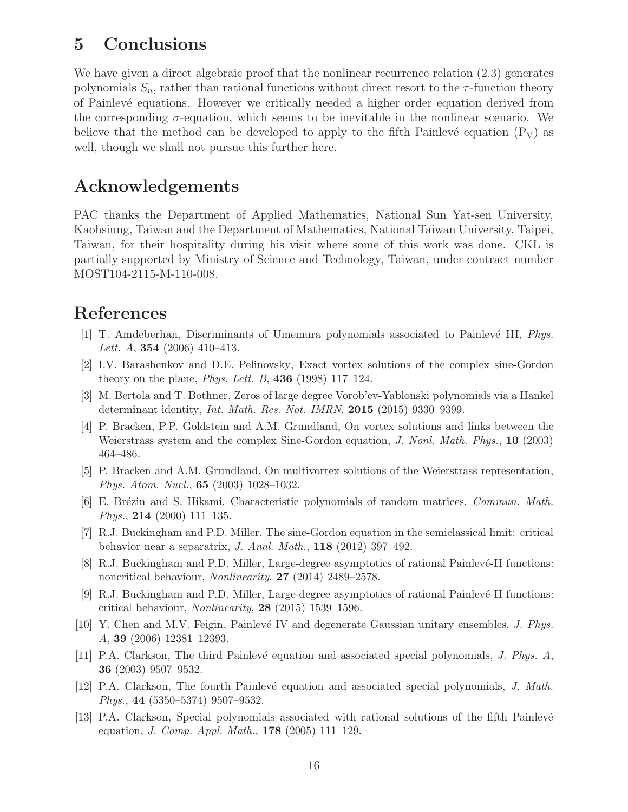## 5 Conclusions

We have given a direct algebraic proof that the nonlinear recurrence relation  $(2.3)$  generates polynomials  $S_n$ , rather than rational functions without direct resort to the  $\tau$ -function theory of Painlev´e equations. However we critically needed a higher order equation derived from the corresponding  $\sigma$ -equation, which seems to be inevitable in the nonlinear scenario. We believe that the method can be developed to apply to the fifth Painlevé equation  $(P_V)$  as well, though we shall not pursue this further here.

## Acknowledgements

PAC thanks the Department of Applied Mathematics, National Sun Yat-sen University, Kaohsiung, Taiwan and the Department of Mathematics, National Taiwan University, Taipei, Taiwan, for their hospitality during his visit where some of this work was done. CKL is partially supported by Ministry of Science and Technology, Taiwan, under contract number MOST104-2115-M-110-008.

## References

- [1] T. Amdeberhan, Discriminants of Umemura polynomials associated to Painlevé III, Phys. Lett. A,  $354$  (2006) 410-413.
- [2] I.V. Barashenkov and D.E. Pelinovsky, Exact vortex solutions of the complex sine-Gordon theory on the plane, *Phys. Lett. B*, **436** (1998) 117–124.
- [3] M. Bertola and T. Bothner, Zeros of large degree Vorob'ev-Yablonski polynomials via a Hankel determinant identity, *Int. Math. Res. Not. IMRN*, **2015** (2015) 9330–9399.
- [4] P. Bracken, P.P. Goldstein and A.M. Grundland, On vortex solutions and links between the Weierstrass system and the complex Sine-Gordon equation, J. Nonl. Math. Phys., 10 (2003) 464–486.
- [5] P. Bracken and A.M. Grundland, On multivortex solutions of the Weierstrass representation, Phys. Atom. Nucl., 65 (2003) 1028–1032.
- [6] E. Brézin and S. Hikami, Characteristic polynomials of random matrices, *Commun. Math.* Phys., 214 (2000) 111–135.
- [7] R.J. Buckingham and P.D. Miller, The sine-Gordon equation in the semiclassical limit: critical behavior near a separatrix, J. Anal. Math.,  $118$  (2012) 397-492.
- [8] R.J. Buckingham and P.D. Miller, Large-degree asymptotics of rational Painlevé-II functions: noncritical behaviour, *Nonlinearity*, **27** (2014) 2489–2578.
- [9] R.J. Buckingham and P.D. Miller, Large-degree asymptotics of rational Painlevé-II functions: critical behaviour, Nonlinearity, 28 (2015) 1539–1596.
- [10] Y. Chen and M.V. Feigin, Painlevé IV and degenerate Gaussian unitary ensembles, J. Phys. A, 39 (2006) 12381–12393.
- [11] P.A. Clarkson, The third Painlevé equation and associated special polynomials, J. Phys. A, 36 (2003) 9507–9532.
- [12] P.A. Clarkson, The fourth Painlevé equation and associated special polynomials, J. Math. Phys., 44 (5350–5374) 9507–9532.
- [13] P.A. Clarkson, Special polynomials associated with rational solutions of the fifth Painlevé equation, *J. Comp. Appl. Math.*, **178** (2005) 111–129.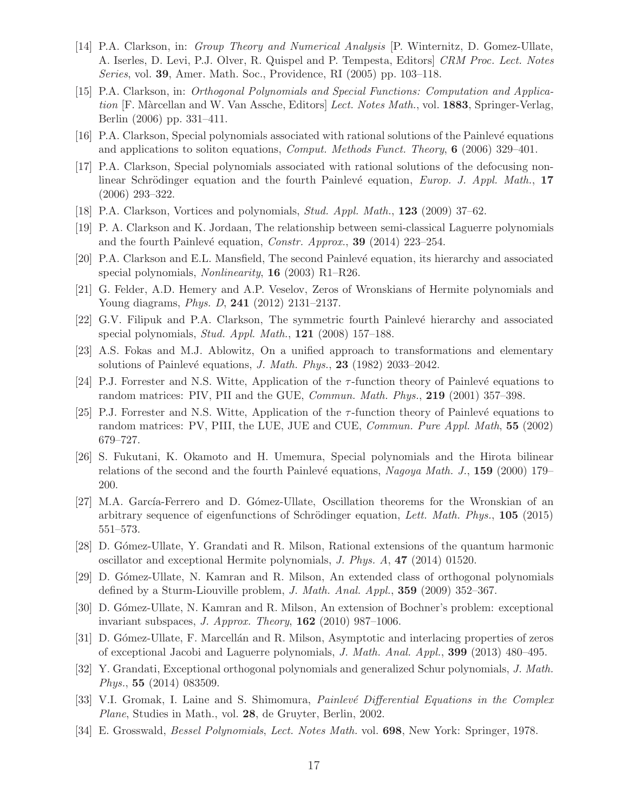- [14] P.A. Clarkson, in: Group Theory and Numerical Analysis [P. Winternitz, D. Gomez-Ullate, A. Iserles, D. Levi, P.J. Olver, R. Quispel and P. Tempesta, Editors] CRM Proc. Lect. Notes Series, vol. 39, Amer. Math. Soc., Providence, RI (2005) pp. 103–118.
- [15] P.A. Clarkson, in: Orthogonal Polynomials and Special Functions: Computation and Application [F. Màrcellan and W. Van Assche, Editors] Lect. Notes Math., vol. 1883, Springer-Verlag, Berlin (2006) pp. 331–411.
- [16] P.A. Clarkson, Special polynomials associated with rational solutions of the Painlev´e equations and applications to soliton equations, Comput. Methods Funct. Theory,  $6$  (2006) 329–401.
- [17] P.A. Clarkson, Special polynomials associated with rational solutions of the defocusing nonlinear Schrödinger equation and the fourth Painlevé equation, Europ. J. Appl. Math., 17 (2006) 293–322.
- [18] P.A. Clarkson, Vortices and polynomials, Stud. Appl. Math., 123 (2009) 37–62.
- [19] P. A. Clarkson and K. Jordaan, The relationship between semi-classical Laguerre polynomials and the fourth Painlevé equation, Constr. Approx., 39 (2014) 223-254.
- [20] P.A. Clarkson and E.L. Mansfield, The second Painlevé equation, its hierarchy and associated special polynomials, *Nonlinearity*, **16** (2003) R1–R26.
- [21] G. Felder, A.D. Hemery and A.P. Veselov, Zeros of Wronskians of Hermite polynomials and Young diagrams, Phys. D, 241 (2012) 2131–2137.
- [22] G.V. Filipuk and P.A. Clarkson, The symmetric fourth Painlevé hierarchy and associated special polynomials, *Stud. Appl. Math.*,  $121$  (2008) 157–188.
- [23] A.S. Fokas and M.J. Ablowitz, On a unified approach to transformations and elementary solutions of Painlevé equations, *J. Math. Phys.*, **23** (1982) 2033–2042.
- [24] P.J. Forrester and N.S. Witte, Application of the  $\tau$ -function theory of Painlevé equations to random matrices: PIV, PII and the GUE, *Commun. Math. Phys.*, **219** (2001) 357–398.
- [25] P.J. Forrester and N.S. Witte, Application of the  $\tau$ -function theory of Painlevé equations to random matrices: PV, PIII, the LUE, JUE and CUE, *Commun. Pure Appl. Math*, **55** (2002) 679–727.
- [26] S. Fukutani, K. Okamoto and H. Umemura, Special polynomials and the Hirota bilinear relations of the second and the fourth Painlevé equations, Nagoya Math. J., 159 (2000) 179– 200.
- [27] M.A. García-Ferrero and D. Gómez-Ullate, Oscillation theorems for the Wronskian of an arbitrary sequence of eigenfunctions of Schrödinger equation, Lett. Math. Phys.,  $105$  (2015) 551–573.
- [28] D. G´omez-Ullate, Y. Grandati and R. Milson, Rational extensions of the quantum harmonic oscillator and exceptional Hermite polynomials, J. Phys. A, 47 (2014) 01520.
- [29] D. G´omez-Ullate, N. Kamran and R. Milson, An extended class of orthogonal polynomials defined by a Sturm-Liouville problem, J. Math. Anal. Appl., 359 (2009) 352-367.
- [30] D. Gómez-Ullate, N. Kamran and R. Milson, An extension of Bochner's problem: exceptional invariant subspaces, J. Approx. Theory,  $162$  (2010) 987–1006.
- [31] D. Gómez-Ullate, F. Marcellán and R. Milson, Asymptotic and interlacing properties of zeros of exceptional Jacobi and Laguerre polynomials, J. Math. Anal. Appl., 399 (2013) 480–495.
- [32] Y. Grandati, Exceptional orthogonal polynomials and generalized Schur polynomials, J. Math. Phys., 55 (2014) 083509.
- [33] V.I. Gromak, I. Laine and S. Shimomura, *Painlevé Differential Equations in the Complex* Plane, Studies in Math., vol. 28, de Gruyter, Berlin, 2002.
- [34] E. Grosswald, Bessel Polynomials, Lect. Notes Math. vol. 698, New York: Springer, 1978.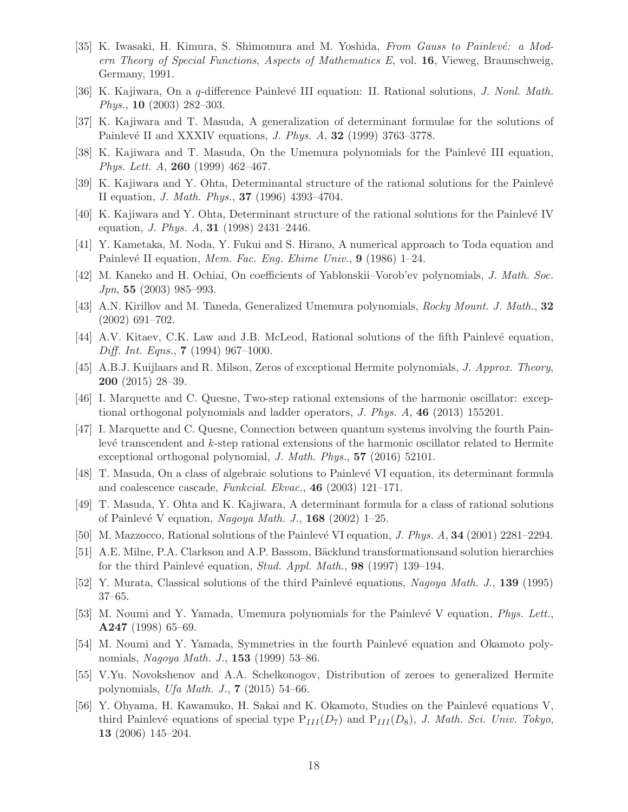- [35] K. Iwasaki, H. Kimura, S. Shimomura and M. Yoshida, From Gauss to Painlevé: a Modern Theory of Special Functions, Aspects of Mathematics E, vol. 16, Vieweg, Braunschweig, Germany, 1991.
- [36] K. Kajiwara, On a q-difference Painlevé III equation: II. Rational solutions, J. Nonl. Math. Phys., 10 (2003) 282–303.
- [37] K. Kajiwara and T. Masuda, A generalization of determinant formulae for the solutions of Painlevé II and XXXIV equations, *J. Phys. A*, **32** (1999) 3763-3778.
- [38] K. Kajiwara and T. Masuda, On the Umemura polynomials for the Painlevé III equation, Phys. Lett. A, 260 (1999) 462–467.
- [39] K. Kajiwara and Y. Ohta, Determinantal structure of the rational solutions for the Painlevé II equation, J. Math. Phys., 37 (1996) 4393–4704.
- [40] K. Kajiwara and Y. Ohta, Determinant structure of the rational solutions for the Painlevé IV equation, *J. Phys. A*, **31** (1998) 2431-2446.
- [41] Y. Kametaka, M. Noda, Y. Fukui and S. Hirano, A numerical approach to Toda equation and Painlevé II equation, Mem. Fac. Eng. Ehime Univ.,  $9$  (1986) 1–24.
- [42] M. Kaneko and H. Ochiai, On coefficients of Yablonskii–Vorob'ev polynomials, J. Math. Soc. Jpn, 55 (2003) 985–993.
- [43] A.N. Kirillov and M. Taneda, Generalized Umemura polynomials, Rocky Mount. J. Math., 32 (2002) 691–702.
- [44] A.V. Kitaev, C.K. Law and J.B. McLeod, Rational solutions of the fifth Painlevé equation, Diff. Int. Eqns., 7 (1994) 967–1000.
- [45] A.B.J. Kuijlaars and R. Milson, Zeros of exceptional Hermite polynomials, J. Approx. Theory, 200 (2015) 28–39.
- [46] I. Marquette and C. Quesne, Two-step rational extensions of the harmonic oscillator: exceptional orthogonal polynomials and ladder operators, J. Phys. A, 46 (2013) 155201.
- [47] I. Marquette and C. Quesne, Connection between quantum systems involving the fourth Painlevé transcendent and  $k$ -step rational extensions of the harmonic oscillator related to Hermite exceptional orthogonal polynomial, *J. Math. Phys.*, **57** (2016) 52101.
- [48] T. Masuda, On a class of algebraic solutions to Painlevé VI equation, its determinant formula and coalescence cascade, Funkcial. Ekvac., 46 (2003) 121–171.
- [49] T. Masuda, Y. Ohta and K. Kajiwara, A determinant formula for a class of rational solutions of Painlevé V equation, Nagoya Math. J.,  $168$  (2002) 1–25.
- [50] M. Mazzocco, Rational solutions of the Painlevé VI equation, *J. Phys. A*, **34** (2001) 2281–2294.
- [51] A.E. Milne, P.A. Clarkson and A.P. Bassom, Bäcklund transformationsand solution hierarchies for the third Painlevé equation, *Stud. Appl. Math.*, **98** (1997) 139–194.
- [52] Y. Murata, Classical solutions of the third Painlevé equations, Nagoya Math. J., 139 (1995) 37–65.
- [53] M. Noumi and Y. Yamada, Umemura polynomials for the Painlevé V equation, *Phys. Lett.*, A247 (1998) 65–69.
- [54] M. Noumi and Y. Yamada, Symmetries in the fourth Painlevé equation and Okamoto polynomials, Nagoya Math. J., 153 (1999) 53-86.
- [55] V.Yu. Novokshenov and A.A. Schelkonogov, Distribution of zeroes to generalized Hermite polynomials, Ufa Math. J.,  $7(2015)$  54–66.
- [56] Y. Ohyama, H. Kawamuko, H. Sakai and K. Okamoto, Studies on the Painlevé equations V, third Painlevé equations of special type  $P_{III}(D_7)$  and  $P_{III}(D_8)$ , J. Math. Sci. Univ. Tokyo, 13 (2006) 145–204.